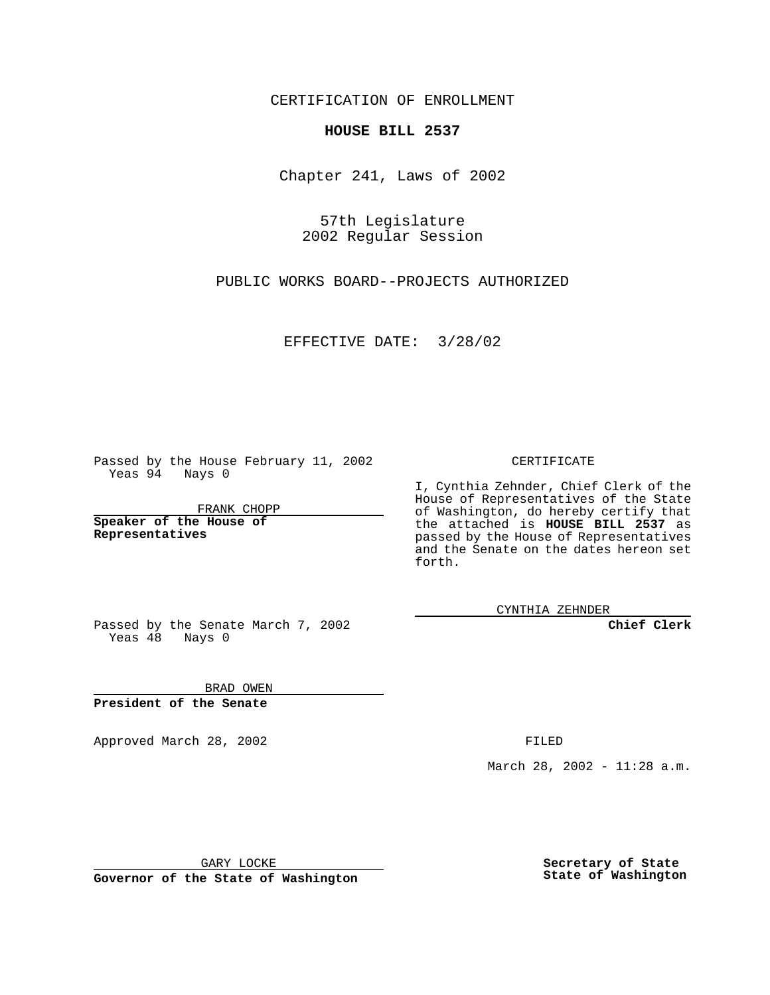CERTIFICATION OF ENROLLMENT

## **HOUSE BILL 2537**

Chapter 241, Laws of 2002

57th Legislature 2002 Regular Session

PUBLIC WORKS BOARD--PROJECTS AUTHORIZED

EFFECTIVE DATE: 3/28/02

Passed by the House February 11, 2002 Yeas 94 Nays 0

FRANK CHOPP

**Speaker of the House of Representatives**

CERTIFICATE

I, Cynthia Zehnder, Chief Clerk of the House of Representatives of the State of Washington, do hereby certify that the attached is **HOUSE BILL 2537** as passed by the House of Representatives and the Senate on the dates hereon set forth.

CYNTHIA ZEHNDER

**Chief Clerk**

Passed by the Senate March 7, 2002 Yeas  $48$  Nays 0

BRAD OWEN **President of the Senate**

Approved March 28, 2002 **FILED** 

March 28, 2002 - 11:28 a.m.

GARY LOCKE

**Governor of the State of Washington**

**Secretary of State State of Washington**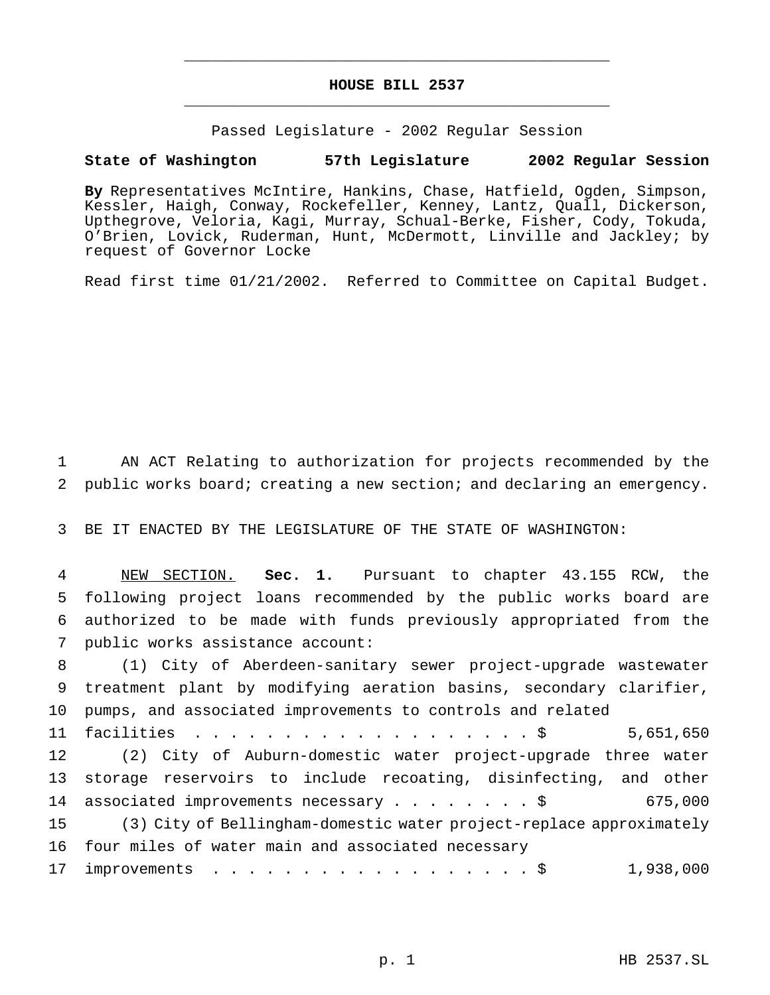## **HOUSE BILL 2537** \_\_\_\_\_\_\_\_\_\_\_\_\_\_\_\_\_\_\_\_\_\_\_\_\_\_\_\_\_\_\_\_\_\_\_\_\_\_\_\_\_\_\_\_\_\_\_

\_\_\_\_\_\_\_\_\_\_\_\_\_\_\_\_\_\_\_\_\_\_\_\_\_\_\_\_\_\_\_\_\_\_\_\_\_\_\_\_\_\_\_\_\_\_\_

Passed Legislature - 2002 Regular Session

## **State of Washington 57th Legislature 2002 Regular Session**

**By** Representatives McIntire, Hankins, Chase, Hatfield, Ogden, Simpson, Kessler, Haigh, Conway, Rockefeller, Kenney, Lantz, Quall, Dickerson, Upthegrove, Veloria, Kagi, Murray, Schual-Berke, Fisher, Cody, Tokuda, O'Brien, Lovick, Ruderman, Hunt, McDermott, Linville and Jackley; by request of Governor Locke

Read first time 01/21/2002. Referred to Committee on Capital Budget.

1 AN ACT Relating to authorization for projects recommended by the 2 public works board; creating a new section; and declaring an emergency.

3 BE IT ENACTED BY THE LEGISLATURE OF THE STATE OF WASHINGTON:

 NEW SECTION. **Sec. 1.** Pursuant to chapter 43.155 RCW, the following project loans recommended by the public works board are authorized to be made with funds previously appropriated from the public works assistance account:

 (1) City of Aberdeen-sanitary sewer project-upgrade wastewater treatment plant by modifying aeration basins, secondary clarifier, pumps, and associated improvements to controls and related facilities ...................\$ 5,651,650 (2) City of Auburn-domestic water project-upgrade three water storage reservoirs to include recoating, disinfecting, and other associated improvements necessary........\$ 675,000 (3) City of Bellingham-domestic water project-replace approximately four miles of water main and associated necessary 17 improvements . . . . . . . . . . . . . . . . . \$ 1,938,000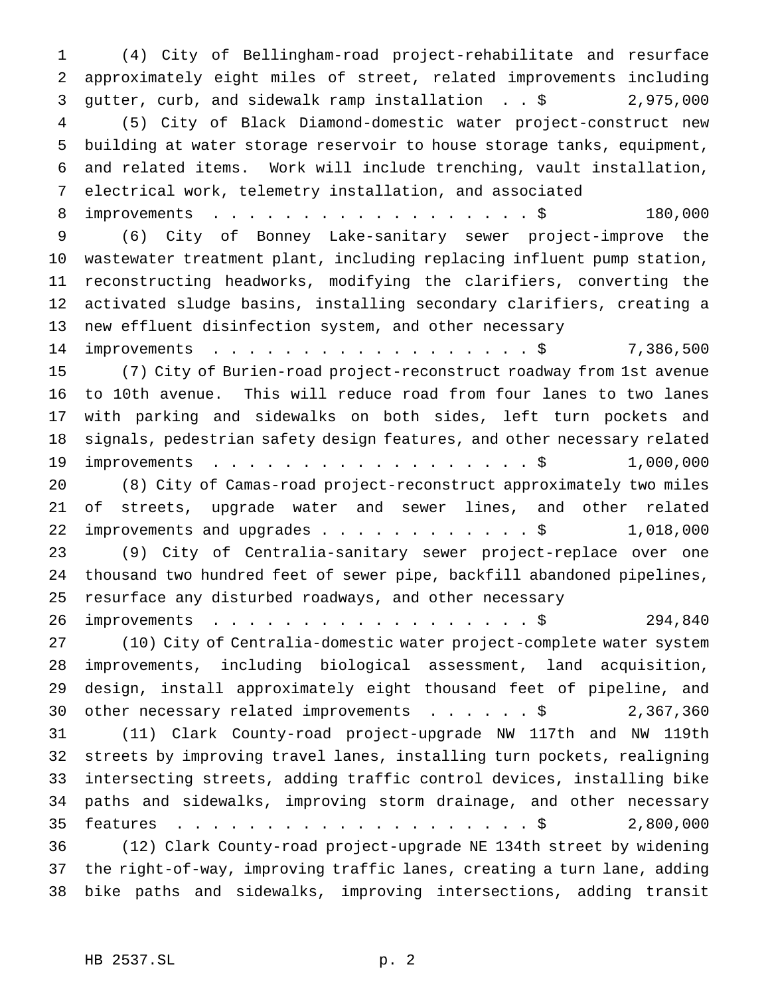(4) City of Bellingham-road project-rehabilitate and resurface approximately eight miles of street, related improvements including gutter, curb, and sidewalk ramp installation . . \$ 2,975,000 (5) City of Black Diamond-domestic water project-construct new building at water storage reservoir to house storage tanks, equipment, and related items. Work will include trenching, vault installation, electrical work, telemetry installation, and associated 8 improvements . . . . . . . . . . . . . . . . . \$ 180,000 (6) City of Bonney Lake-sanitary sewer project-improve the wastewater treatment plant, including replacing influent pump station, reconstructing headworks, modifying the clarifiers, converting the activated sludge basins, installing secondary clarifiers, creating a new effluent disinfection system, and other necessary 14 improvements . . . . . . . . . . . . . . . . \$ 7,386,500 (7) City of Burien-road project-reconstruct roadway from 1st avenue to 10th avenue. This will reduce road from four lanes to two lanes with parking and sidewalks on both sides, left turn pockets and signals, pedestrian safety design features, and other necessary related 19 improvements . . . . . . . . . . . . . . . . . \$ 1,000,000 (8) City of Camas-road project-reconstruct approximately two miles of streets, upgrade water and sewer lines, and other related 22 improvements and upgrades . . . . . . . . . . . \$ 1,018,000 (9) City of Centralia-sanitary sewer project-replace over one thousand two hundred feet of sewer pipe, backfill abandoned pipelines, resurface any disturbed roadways, and other necessary 26 improvements . . . . . . . . . . . . . . . . . \$ 294,840 (10) City of Centralia-domestic water project-complete water system improvements, including biological assessment, land acquisition, design, install approximately eight thousand feet of pipeline, and 30 other necessary related improvements . . . . . \$ 2,367,360 (11) Clark County-road project-upgrade NW 117th and NW 119th streets by improving travel lanes, installing turn pockets, realigning intersecting streets, adding traffic control devices, installing bike paths and sidewalks, improving storm drainage, and other necessary features ....................\$ 2,800,000 (12) Clark County-road project-upgrade NE 134th street by widening the right-of-way, improving traffic lanes, creating a turn lane, adding bike paths and sidewalks, improving intersections, adding transit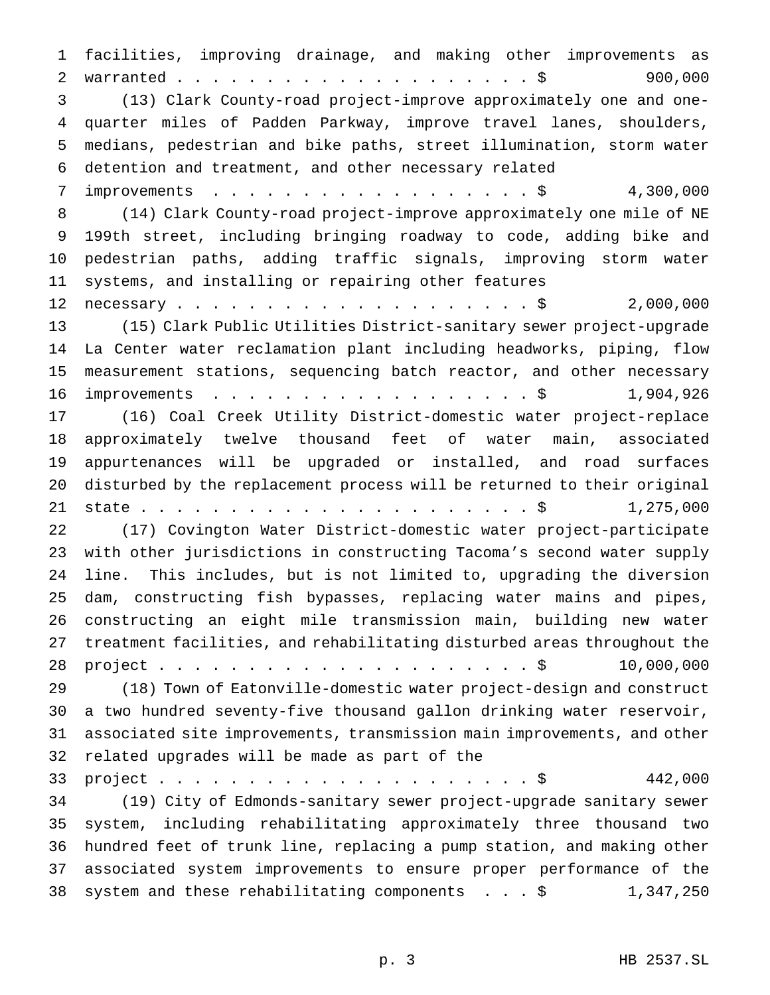facilities, improving drainage, and making other improvements as 2 warranted.............................\$ 900,000 (13) Clark County-road project-improve approximately one and one- quarter miles of Padden Parkway, improve travel lanes, shoulders, medians, pedestrian and bike paths, street illumination, storm water detention and treatment, and other necessary related 7 improvements . . . . . . . . . . . . . . . . \$ 4,300,000 (14) Clark County-road project-improve approximately one mile of NE 199th street, including bringing roadway to code, adding bike and pedestrian paths, adding traffic signals, improving storm water systems, and installing or repairing other features 12 necessary.........................\$ 2,000,000 (15) Clark Public Utilities District-sanitary sewer project-upgrade La Center water reclamation plant including headworks, piping, flow measurement stations, sequencing batch reactor, and other necessary 16 improvements . . . . . . . . . . . . . . . . . \$ 1,904,926 (16) Coal Creek Utility District-domestic water project-replace approximately twelve thousand feet of water main, associated appurtenances will be upgraded or installed, and road surfaces disturbed by the replacement process will be returned to their original state......................\$ 1,275,000 (17) Covington Water District-domestic water project-participate with other jurisdictions in constructing Tacoma's second water supply line. This includes, but is not limited to, upgrading the diversion dam, constructing fish bypasses, replacing water mains and pipes, constructing an eight mile transmission main, building new water treatment facilities, and rehabilitating disturbed areas throughout the project.....................\$ 10,000,000 (18) Town of Eatonville-domestic water project-design and construct a two hundred seventy-five thousand gallon drinking water reservoir, associated site improvements, transmission main improvements, and other related upgrades will be made as part of the project.....................\$ 442,000 (19) City of Edmonds-sanitary sewer project-upgrade sanitary sewer system, including rehabilitating approximately three thousand two hundred feet of trunk line, replacing a pump station, and making other associated system improvements to ensure proper performance of the system and these rehabilitating components ...\$ 1,347,250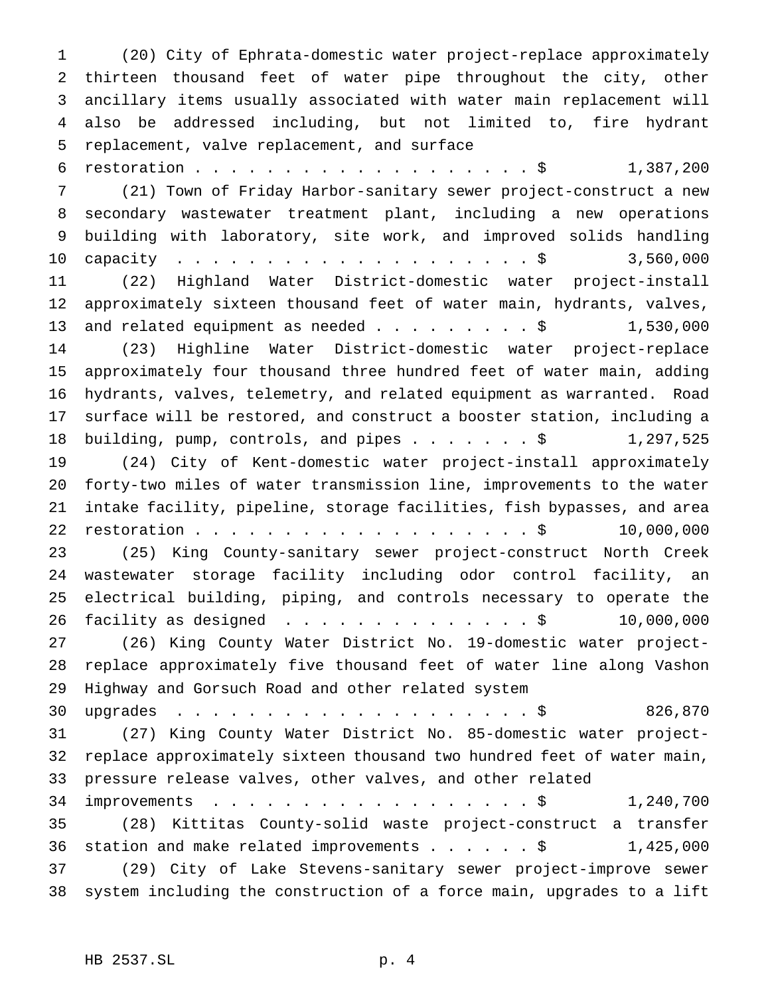(20) City of Ephrata-domestic water project-replace approximately thirteen thousand feet of water pipe throughout the city, other ancillary items usually associated with water main replacement will also be addressed including, but not limited to, fire hydrant replacement, valve replacement, and surface

 restoration...................\$ 1,387,200 (21) Town of Friday Harbor-sanitary sewer project-construct a new secondary wastewater treatment plant, including a new operations building with laboratory, site work, and improved solids handling 10 capacity . . . . . . . . . . . . . . . . . . \$ 3,560,000 (22) Highland Water District-domestic water project-install approximately sixteen thousand feet of water main, hydrants, valves, 13 and related equipment as needed  $\ldots$ .......\$ 1,530,000 (23) Highline Water District-domestic water project-replace approximately four thousand three hundred feet of water main, adding hydrants, valves, telemetry, and related equipment as warranted. Road surface will be restored, and construct a booster station, including a 18 building, pump, controls, and pipes . . . . . . \$ 1,297,525 (24) City of Kent-domestic water project-install approximately forty-two miles of water transmission line, improvements to the water intake facility, pipeline, storage facilities, fish bypasses, and area 22 restoration . . . . . . . . . . . . . . . . . . \$ 10,000,000 (25) King County-sanitary sewer project-construct North Creek wastewater storage facility including odor control facility, an electrical building, piping, and controls necessary to operate the 26 facility as designed . . . . . . . . . . . . . \$ 10,000,000 (26) King County Water District No. 19-domestic water project- replace approximately five thousand feet of water line along Vashon Highway and Gorsuch Road and other related system upgrades ....................\$ 826,870 (27) King County Water District No. 85-domestic water project- replace approximately sixteen thousand two hundred feet of water main, pressure release valves, other valves, and other related 34 improvements . . . . . . . . . . . . . . . . . \$ 1,240,700 (28) Kittitas County-solid waste project-construct a transfer

36 station and make related improvements . . . . . \$ 1,425,000 (29) City of Lake Stevens-sanitary sewer project-improve sewer system including the construction of a force main, upgrades to a lift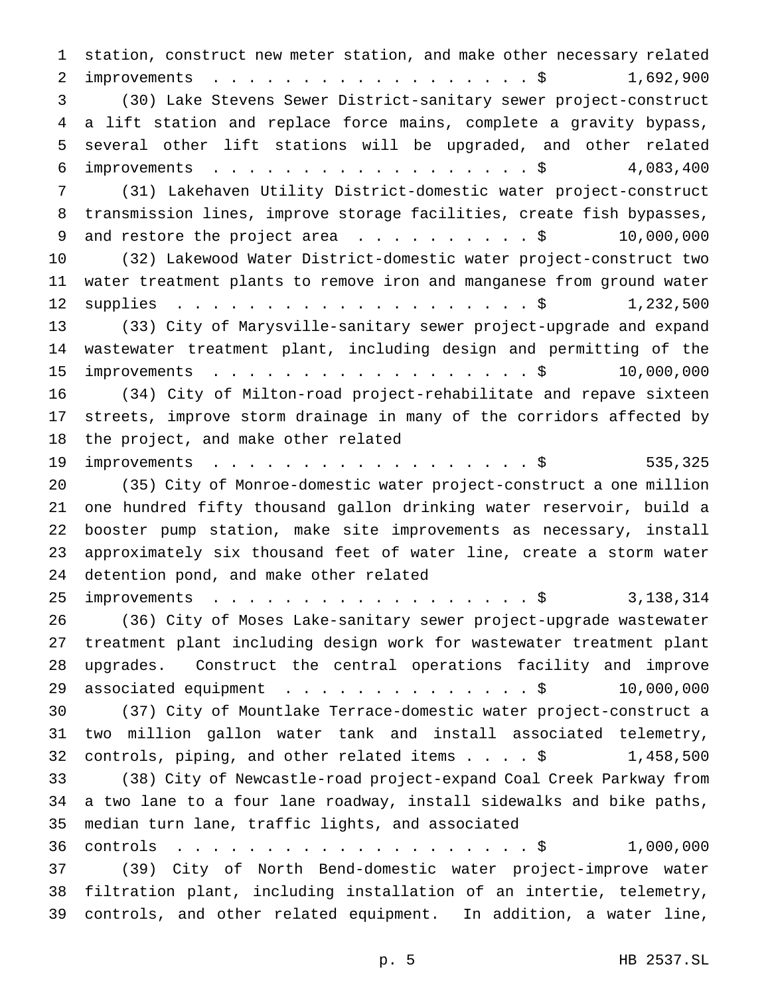station, construct new meter station, and make other necessary related 2 improvements . . . . . . . . . . . . . . . . . \$ 1,692,900 (30) Lake Stevens Sewer District-sanitary sewer project-construct a lift station and replace force mains, complete a gravity bypass, several other lift stations will be upgraded, and other related improvements ..................\$ 4,083,400 (31) Lakehaven Utility District-domestic water project-construct transmission lines, improve storage facilities, create fish bypasses, 9 and restore the project area . . . . . . . . . \$ 10,000,000 (32) Lakewood Water District-domestic water project-construct two water treatment plants to remove iron and manganese from ground water supplies ....................\$ 1,232,500 (33) City of Marysville-sanitary sewer project-upgrade and expand wastewater treatment plant, including design and permitting of the 15 improvements . . . . . . . . . . . . . . . . . \$ 10,000,000 (34) City of Milton-road project-rehabilitate and repave sixteen streets, improve storm drainage in many of the corridors affected by the project, and make other related 19 improvements . . . . . . . . . . . . . . . . . \$ 535,325 (35) City of Monroe-domestic water project-construct a one million one hundred fifty thousand gallon drinking water reservoir, build a booster pump station, make site improvements as necessary, install approximately six thousand feet of water line, create a storm water detention pond, and make other related 25 improvements . . . . . . . . . . . . . . . . \$ 3,138,314 (36) City of Moses Lake-sanitary sewer project-upgrade wastewater treatment plant including design work for wastewater treatment plant upgrades. Construct the central operations facility and improve 29 associated equipment . . . . . . . . . . . . . \$ 10,000,000 (37) City of Mountlake Terrace-domestic water project-construct a two million gallon water tank and install associated telemetry, controls, piping, and other related items....\$ 1,458,500 (38) City of Newcastle-road project-expand Coal Creek Parkway from a two lane to a four lane roadway, install sidewalks and bike paths, median turn lane, traffic lights, and associated controls ....................\$ 1,000,000 (39) City of North Bend-domestic water project-improve water filtration plant, including installation of an intertie, telemetry, controls, and other related equipment. In addition, a water line,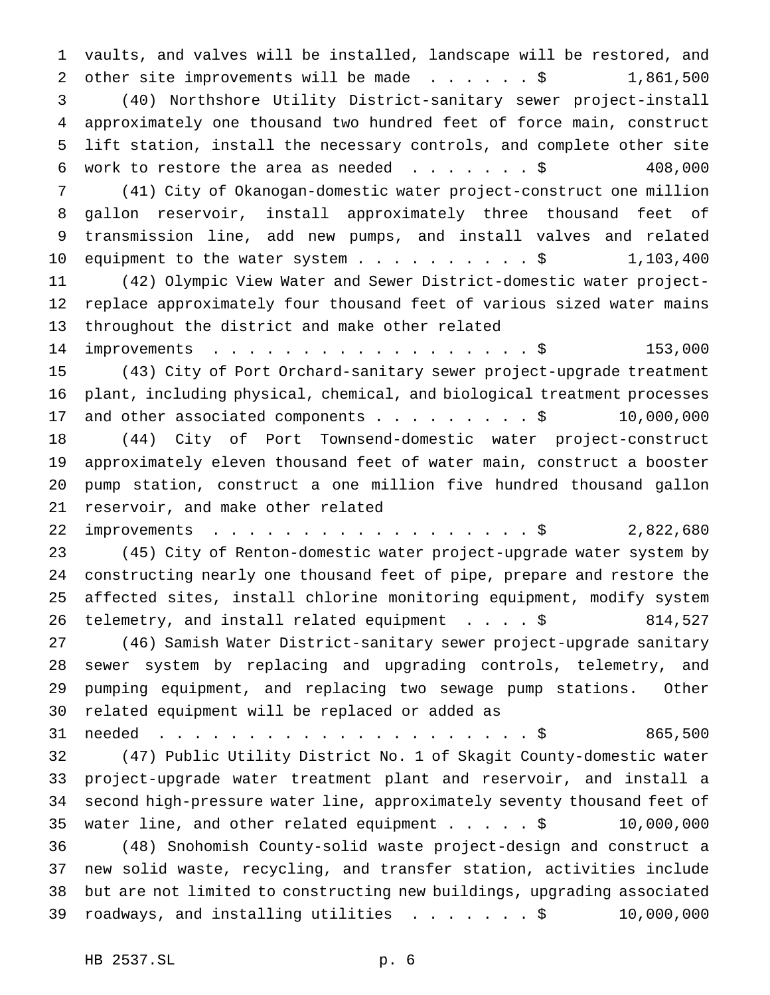vaults, and valves will be installed, landscape will be restored, and 2 other site improvements will be made . . . . . \$ 1,861,500 (40) Northshore Utility District-sanitary sewer project-install approximately one thousand two hundred feet of force main, construct lift station, install the necessary controls, and complete other site 6 work to restore the area as needed  $\ldots$ ......\$ 408,000 (41) City of Okanogan-domestic water project-construct one million gallon reservoir, install approximately three thousand feet of transmission line, add new pumps, and install valves and related 10 equipment to the water system................\$ 1,103,400 (42) Olympic View Water and Sewer District-domestic water project- replace approximately four thousand feet of various sized water mains throughout the district and make other related 14 improvements . . . . . . . . . . . . . . . . \$ 153,000 (43) City of Port Orchard-sanitary sewer project-upgrade treatment plant, including physical, chemical, and biological treatment processes 17 and other associated components . . . . . . . . \$ 10,000,000 (44) City of Port Townsend-domestic water project-construct approximately eleven thousand feet of water main, construct a booster pump station, construct a one million five hundred thousand gallon reservoir, and make other related 22 improvements . . . . . . . . . . . . . . . . . \$ 2,822,680 (45) City of Renton-domestic water project-upgrade water system by constructing nearly one thousand feet of pipe, prepare and restore the affected sites, install chlorine monitoring equipment, modify system telemetry, and install related equipment ....\$ 814,527 (46) Samish Water District-sanitary sewer project-upgrade sanitary sewer system by replacing and upgrading controls, telemetry, and pumping equipment, and replacing two sewage pump stations. Other related equipment will be replaced or added as needed .....................\$ 865,500 (47) Public Utility District No. 1 of Skagit County-domestic water project-upgrade water treatment plant and reservoir, and install a second high-pressure water line, approximately seventy thousand feet of water line, and other related equipment.....\$ 10,000,000 (48) Snohomish County-solid waste project-design and construct a new solid waste, recycling, and transfer station, activities include but are not limited to constructing new buildings, upgrading associated roadways, and installing utilities .......\$ 10,000,000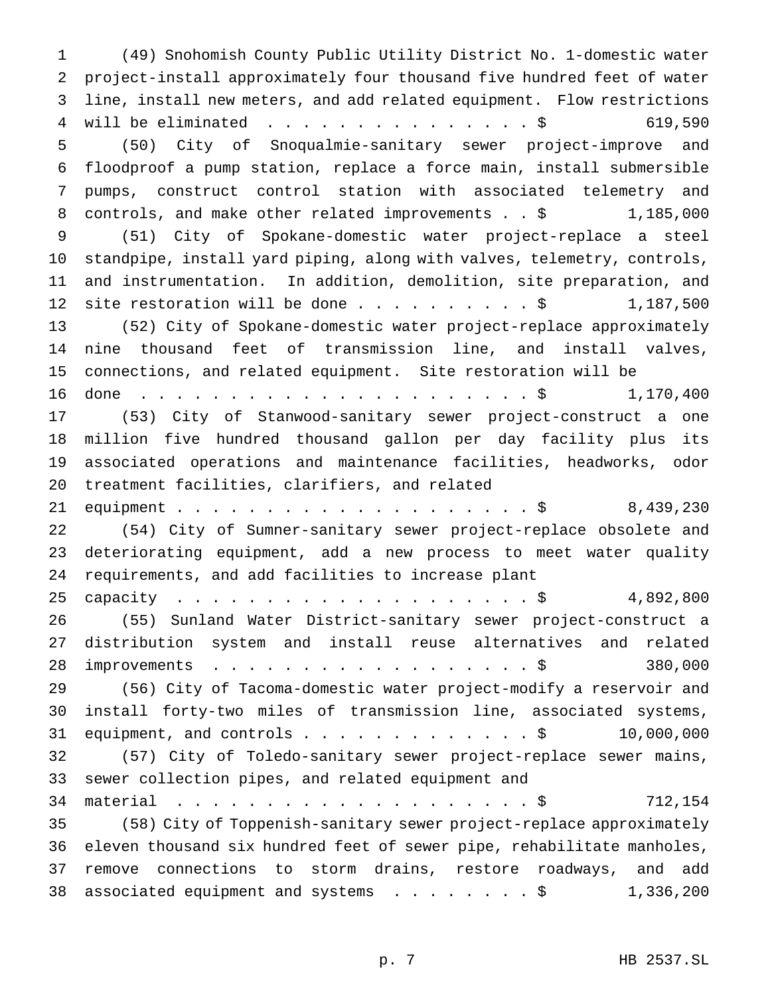(49) Snohomish County Public Utility District No. 1-domestic water project-install approximately four thousand five hundred feet of water line, install new meters, and add related equipment. Flow restrictions 4 will be eliminated . . . . . . . . . . . . . . \$ 619,590 (50) City of Snoqualmie-sanitary sewer project-improve and floodproof a pump station, replace a force main, install submersible pumps, construct control station with associated telemetry and 8 controls, and make other related improvements . . \$ 1,185,000 (51) City of Spokane-domestic water project-replace a steel standpipe, install yard piping, along with valves, telemetry, controls, and instrumentation. In addition, demolition, site preparation, and 12 site restoration will be done  $\ldots$ ........\$ 1,187,500 (52) City of Spokane-domestic water project-replace approximately nine thousand feet of transmission line, and install valves, connections, and related equipment. Site restoration will be done ......................\$ 1,170,400 (53) City of Stanwood-sanitary sewer project-construct a one million five hundred thousand gallon per day facility plus its associated operations and maintenance facilities, headworks, odor treatment facilities, clarifiers, and related equipment....................\$ 8,439,230 (54) City of Sumner-sanitary sewer project-replace obsolete and deteriorating equipment, add a new process to meet water quality requirements, and add facilities to increase plant capacity ....................\$ 4,892,800 (55) Sunland Water District-sanitary sewer project-construct a distribution system and install reuse alternatives and related 28 improvements . . . . . . . . . . . . . . . . . \$ 380,000 (56) City of Tacoma-domestic water project-modify a reservoir and install forty-two miles of transmission line, associated systems, 31 equipment, and controls . . . . . . . . . . . . \$ 10,000,000 (57) City of Toledo-sanitary sewer project-replace sewer mains, sewer collection pipes, and related equipment and 34 material . . . . . . . . . . . . . . . . . . \$ 712,154 (58) City of Toppenish-sanitary sewer project-replace approximately eleven thousand six hundred feet of sewer pipe, rehabilitate manholes, remove connections to storm drains, restore roadways, and add 38 associated equipment and systems . . . . . . . \$ 1,336,200